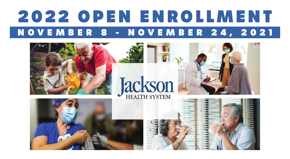## 2022 OPEN ENROLLMENT<br>NOVEMBER 8 - NOVEMBER 24, 2021